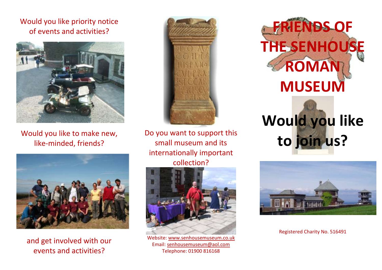## Would you like priority notice of events and activities?



Would you like to make new, like-minded, friends?



and get involved with our events and activities?



Do you want to support this small museum and its internationally important collection?



Website: [www.senhousemuseum.co.uk](http://www.senhousemuseum.co.uk/) Email: [senhousemuseum@aol.com](mailto:senhousemuseum@aol.com) Telephone: 01900 816168





Registered Charity No. 516491